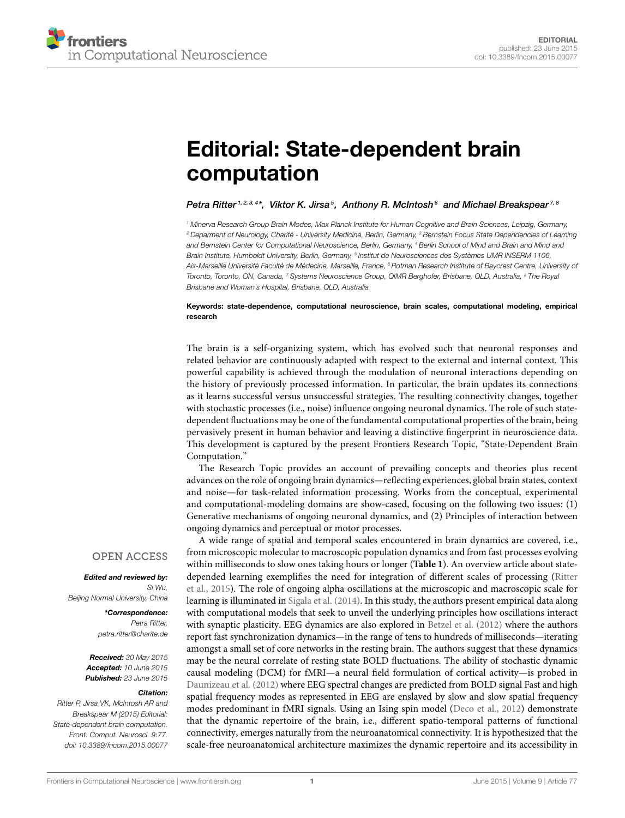# [Editorial: State-dependent brain](http://journal.frontiersin.org/article/10.3389/fncom.2015.00077/full) computation

## [Petra Ritter](http://loop.frontiersin.org/people/4729/overview)<sup>1,2,3,4</sup>\*,  [Viktor K. Jirsa](http://loop.frontiersin.org/people/4334/overview)<sup>5</sup>,  [Anthony R. McIntosh](http://loop.frontiersin.org/people/4730/overview)<sup>6</sup> and [Michael Breakspear](http://loop.frontiersin.org/people/20295/overview)<sup>7,8</sup>

<sup>1</sup> Minerva Research Group Brain Modes, Max Planck Institute for Human Cognitive and Brain Sciences, Leipzig, Germany, <sup>2</sup> Deparment of Neurology, Charité - University Medicine, Berlin, Germany, <sup>3</sup> Bernstein Focus State Dependencies of Learning and Bernstein Center for Computational Neuroscience, Berlin, Germany, <sup>4</sup> Berlin School of Mind and Brain and Mind and Brain Institute, Humboldt University, Berlin, Germany, <sup>s</sup> Institut de Neurosciences des Systèmes UMR INSERM 1106, Aix-Marseille Université Faculté de Médecine, Marseille, France, <sup>6</sup> Rotman Research Institute of Baycrest Centre, University of Toronto, Toronto, ON, Canada, 7 Systems Neuroscience Group, QIMR Berghofer, Brisbane, QLD, Australia, <sup>8</sup> The Royal Brisbane and Woman's Hospital, Brisbane, QLD, Australia

## Keywords: state-dependence, computational neuroscience, brain scales, computational modeling, empirical research

The brain is a self-organizing system, which has evolved such that neuronal responses and related behavior are continuously adapted with respect to the external and internal context. This powerful capability is achieved through the modulation of neuronal interactions depending on the history of previously processed information. In particular, the brain updates its connections as it learns successful versus unsuccessful strategies. The resulting connectivity changes, together with stochastic processes (i.e., noise) influence ongoing neuronal dynamics. The role of such statedependent fluctuations may be one of the fundamental computational properties of the brain, being pervasively present in human behavior and leaving a distinctive fingerprint in neuroscience data. This development is captured by the present Frontiers Research Topic, "State-Dependent Brain Computation."

The Research Topic provides an account of prevailing concepts and theories plus recent advances on the role of ongoing brain dynamics—reflecting experiences, global brain states, context and noise—for task-related information processing. Works from the conceptual, experimental and computational-modeling domains are show-cased, focusing on the following two issues: (1) Generative mechanisms of ongoing neuronal dynamics, and (2) Principles of interaction between ongoing dynamics and perceptual or motor processes.

A wide range of spatial and temporal scales encountered in brain dynamics are covered, i.e., from microscopic molecular to macroscopic population dynamics and from fast processes evolving within milliseconds to slow ones taking hours or longer (**[Table 1](#page-1-0)**). An overview article about statedepended learning exemplifies the need for integration of different scales of processing (Ritter et al., [2015\)](#page-2-0). The role of ongoing alpha oscillations at the microscopic and macroscopic scale for learning is illuminated in [Sigala et al. \(2014\)](#page-2-1). In this study, the authors present empirical data along with computational models that seek to unveil the underlying principles how oscillations interact with synaptic plasticity. EEG dynamics are also explored in [Betzel et al. \(2012\)](#page-2-2) where the authors report fast synchronization dynamics—in the range of tens to hundreds of milliseconds—iterating amongst a small set of core networks in the resting brain. The authors suggest that these dynamics may be the neural correlate of resting state BOLD fluctuations. The ability of stochastic dynamic causal modeling (DCM) for fMRI—a neural field formulation of cortical activity—is probed in [Daunizeau et al. \(2012\)](#page-2-3) where EEG spectral changes are predicted from BOLD signal Fast and high spatial frequency modes as represented in EEG are enslaved by slow and slow spatial frequency modes predominant in fMRI signals. Using an Ising spin model [\(Deco et al., 2012\)](#page-2-4) demonstrate that the dynamic repertoire of the brain, i.e., different spatio-temporal patterns of functional connectivity, emerges naturally from the neuroanatomical connectivity. It is hypothesized that the scale-free neuroanatomical architecture maximizes the dynamic repertoire and its accessibility in

## **OPEN ACCESS**

#### Edited and reviewed by: Si Wu,

Beijing Normal University, China

\*Correspondence: Petra Ritter, [petra.ritter@charite.de](mailto:petra.ritter@charite.de)

Received: 30 May 2015 Accepted: 10 June 2015 Published: 23 June 2015

#### Citation:

Ritter P, Jirsa VK, McIntosh AR and Breakspear M (2015) Editorial: State-dependent brain computation. Front. Comput. Neurosci. 9:77. doi: [10.3389/fncom.2015.00077](http://dx.doi.org/10.3389/fncom.2015.00077)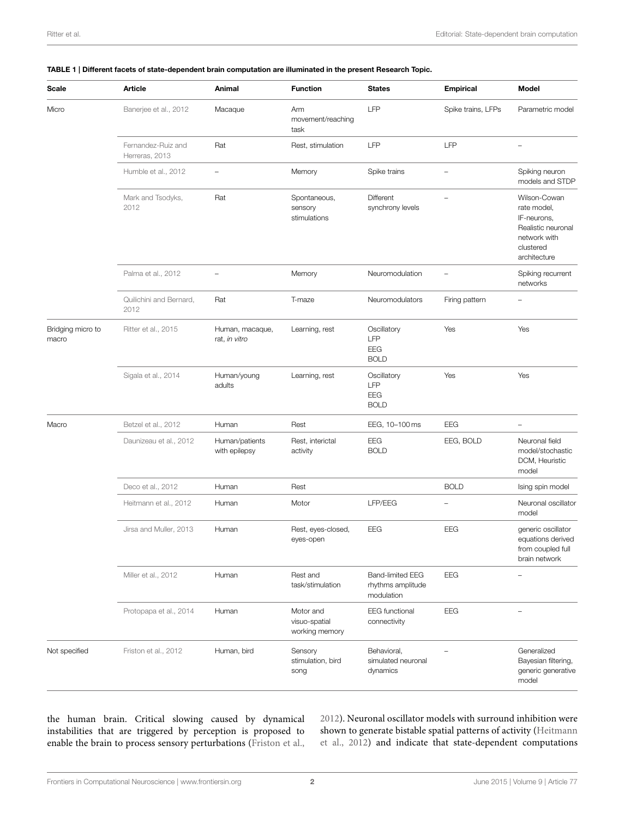| Scale                      | Article                              | Animal                           | <b>Function</b>                              | <b>States</b>                                              | <b>Empirical</b>         | Model                                                                                                         |
|----------------------------|--------------------------------------|----------------------------------|----------------------------------------------|------------------------------------------------------------|--------------------------|---------------------------------------------------------------------------------------------------------------|
| Micro                      | Banerjee et al., 2012                | Macaque                          | Arm<br>movement/reaching<br>task             | LFP                                                        | Spike trains, LFPs       | Parametric model                                                                                              |
|                            | Fernandez-Ruiz and<br>Herreras, 2013 | Rat                              | Rest, stimulation                            | LFP                                                        | LFP                      |                                                                                                               |
|                            | Humble et al., 2012                  | $\qquad \qquad -$                | Memory                                       | Spike trains                                               | $\qquad \qquad -$        | Spiking neuron<br>models and STDP                                                                             |
|                            | Mark and Tsodyks,<br>2012            | Rat                              | Spontaneous,<br>sensory<br>stimulations      | Different<br>synchrony levels                              |                          | Wilson-Cowan<br>rate model,<br>IF-neurons,<br>Realistic neuronal<br>network with<br>clustered<br>architecture |
|                            | Palma et al., 2012                   | $\qquad \qquad -$                | Memory                                       | Neuromodulation                                            | $\overline{\phantom{0}}$ | Spiking recurrent<br>networks                                                                                 |
|                            | Quilichini and Bernard,<br>2012      | Rat                              | T-maze                                       | Neuromodulators                                            | Firing pattern           |                                                                                                               |
| Bridging micro to<br>macro | Ritter et al., 2015                  | Human, macaque,<br>rat, in vitro | Learning, rest                               | Oscillatory<br>LFP<br><b>EEG</b><br><b>BOLD</b>            | Yes                      | Yes                                                                                                           |
|                            | Sigala et al., 2014                  | Human/young<br>adults            | Learning, rest                               | Oscillatory<br>LFP<br>EEG<br><b>BOLD</b>                   | Yes                      | Yes                                                                                                           |
| Macro                      | Betzel et al., 2012                  | Human                            | Rest                                         | EEG, 10-100 ms                                             | EEG                      | $\qquad \qquad -$                                                                                             |
|                            | Daunizeau et al., 2012               | Human/patients<br>with epilepsy  | Rest, interictal<br>activity                 | EEG<br><b>BOLD</b>                                         | EEG, BOLD                | Neuronal field<br>model/stochastic<br>DCM, Heuristic<br>model                                                 |
|                            | Deco et al., 2012                    | Human                            | Rest                                         |                                                            | <b>BOLD</b>              | Ising spin model                                                                                              |
|                            | Heitmann et al., 2012                | Human                            | Motor                                        | LFP/EEG                                                    | $\overline{a}$           | Neuronal oscillator<br>model                                                                                  |
|                            | Jirsa and Muller, 2013               | Human                            | Rest, eyes-closed,<br>eyes-open              | EEG                                                        | EEG                      | generic oscillator<br>equations derived<br>from coupled full<br>brain network                                 |
|                            | Miller et al., 2012                  | Human                            | Rest and<br>task/stimulation                 | <b>Band-limited EEG</b><br>rhythms amplitude<br>modulation | EEG                      | $\overline{\phantom{0}}$                                                                                      |
|                            | Protopapa et al., 2014               | Human                            | Motor and<br>visuo-spatial<br>working memory | <b>EEG</b> functional<br>connectivity                      | EEG                      |                                                                                                               |
| Not specified              | Friston et al., 2012                 | Human, bird                      | Sensory<br>stimulation, bird<br>song         | Behavioral,<br>simulated neuronal<br>dynamics              |                          | Generalized<br>Bayesian filtering,<br>generic generative<br>model                                             |

## <span id="page-1-0"></span>TABLE 1 | Different facets of state-dependent brain computation are illuminated in the present Research Topic.

the human brain. Critical slowing caused by dynamical instabilities that are triggered by perception is proposed to enable the brain to process sensory perturbations [\(Friston et al.,](#page-2-15) [2012\)](#page-2-15). Neuronal oscillator models with surround inhibition were shown to generate bistable spatial patterns of activity (Heitmann et al., [2012\)](#page-2-11) and indicate that state-dependent computations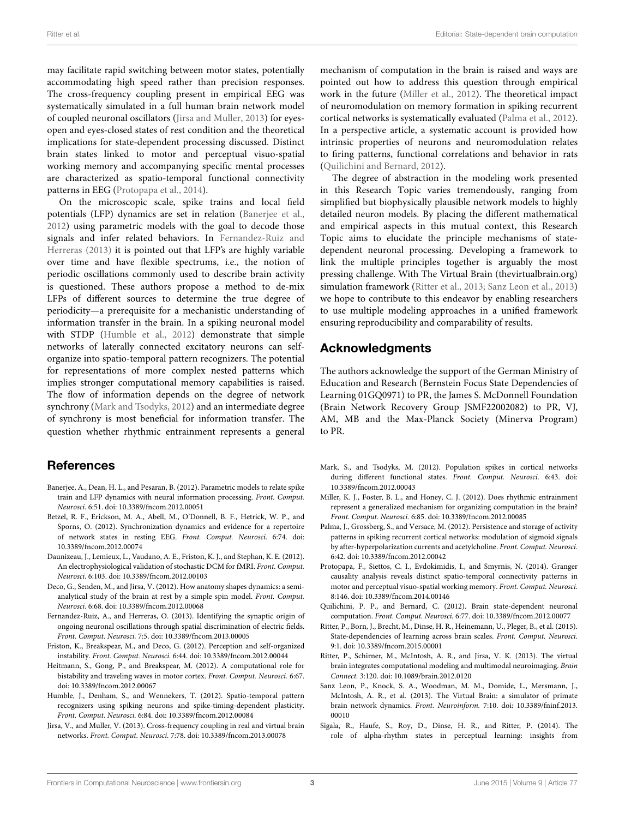may facilitate rapid switching between motor states, potentially accommodating high speed rather than precision responses. The cross-frequency coupling present in empirical EEG was systematically simulated in a full human brain network model of coupled neuronal oscillators [\(Jirsa and Muller, 2013\)](#page-2-12) for eyesopen and eyes-closed states of rest condition and the theoretical implications for state-dependent processing discussed. Distinct brain states linked to motor and perceptual visuo-spatial working memory and accompanying specific mental processes are characterized as spatio-temporal functional connectivity patterns in EEG [\(Protopapa et al., 2014\)](#page-2-14).

On the microscopic scale, spike trains and local field potentials (LFP) dynamics are set in relation [\(Banerjee et al.,](#page-2-5) [2012\)](#page-2-5) using parametric models with the goal to decode those signals and infer related behaviors. In Fernandez-Ruiz and Herreras [\(2013\)](#page-2-6) it is pointed out that LFP's are highly variable over time and have flexible spectrums, i.e., the notion of periodic oscillations commonly used to describe brain activity is questioned. These authors propose a method to de-mix LFPs of different sources to determine the true degree of periodicity—a prerequisite for a mechanistic understanding of information transfer in the brain. In a spiking neuronal model with STDP [\(Humble et al., 2012\)](#page-2-7) demonstrate that simple networks of laterally connected excitatory neurons can selforganize into spatio-temporal pattern recognizers. The potential for representations of more complex nested patterns which implies stronger computational memory capabilities is raised. The flow of information depends on the degree of network synchrony [\(Mark and Tsodyks, 2012\)](#page-2-8) and an intermediate degree of synchrony is most beneficial for information transfer. The question whether rhythmic entrainment represents a general

# **References**

- <span id="page-2-5"></span>Banerjee, A., Dean, H. L., and Pesaran, B. (2012). Parametric models to relate spike train and LFP dynamics with neural information processing. Front. Comput. Neurosci. 6:51. doi: 10.3389/fncom.2012.00051
- <span id="page-2-2"></span>Betzel, R. F., Erickson, M. A., Abell, M., O'Donnell, B. F., Hetrick, W. P., and Sporns, O. (2012). Synchronization dynamics and evidence for a repertoire of network states in resting EEG. Front. Comput. Neurosci. 6:74. doi: 10.3389/fncom.2012.00074
- <span id="page-2-3"></span>Daunizeau, J., Lemieux, L., Vaudano, A. E., Friston, K. J., and Stephan, K. E. (2012). An electrophysiological validation of stochastic DCM for fMRI. Front. Comput. Neurosci. 6:103. doi: 10.3389/fncom.2012.00103
- <span id="page-2-4"></span>Deco, G., Senden, M., and Jirsa, V. (2012). How anatomy shapes dynamics: a semianalytical study of the brain at rest by a simple spin model. Front. Comput. Neurosci. 6:68. doi: 10.3389/fncom.2012.00068
- <span id="page-2-6"></span>Fernandez-Ruiz, A., and Herreras, O. (2013). Identifying the synaptic origin of ongoing neuronal oscillations through spatial discrimination of electric fields. Front. Comput. Neurosci. 7:5. doi: 10.3389/fncom.2013.00005
- <span id="page-2-15"></span>Friston, K., Breakspear, M., and Deco, G. (2012). Perception and self-organized instability. Front. Comput. Neurosci. 6:44. doi: 10.3389/fncom.2012.00044
- <span id="page-2-11"></span>Heitmann, S., Gong, P., and Breakspear, M. (2012). A computational role for bistability and traveling waves in motor cortex. Front. Comput. Neurosci. 6:67. doi: 10.3389/fncom.2012.00067
- <span id="page-2-7"></span>Humble, J., Denham, S., and Wennekers, T. (2012). Spatio-temporal pattern recognizers using spiking neurons and spike-timing-dependent plasticity. Front. Comput. Neurosci. 6:84. doi: 10.3389/fncom.2012.00084
- <span id="page-2-12"></span>Jirsa, V., and Muller, V. (2013). Cross-frequency coupling in real and virtual brain networks. Front. Comput. Neurosci. 7:78. doi: 10.3389/fncom.2013.00078

mechanism of computation in the brain is raised and ways are pointed out how to address this question through empirical work in the future [\(Miller et al., 2012\)](#page-2-13). The theoretical impact of neuromodulation on memory formation in spiking recurrent cortical networks is systematically evaluated [\(Palma et al., 2012\)](#page-2-9). In a perspective article, a systematic account is provided how intrinsic properties of neurons and neuromodulation relates to firing patterns, functional correlations and behavior in rats [\(Quilichini and Bernard, 2012\)](#page-2-10).

The degree of abstraction in the modeling work presented in this Research Topic varies tremendously, ranging from simplified but biophysically plausible network models to highly detailed neuron models. By placing the different mathematical and empirical aspects in this mutual context, this Research Topic aims to elucidate the principle mechanisms of statedependent neuronal processing. Developing a framework to link the multiple principles together is arguably the most pressing challenge. With The Virtual Brain (thevirtualbrain.org) simulation framework [\(Ritter et al., 2013;](#page-2-16) [Sanz Leon et al., 2013\)](#page-2-17) we hope to contribute to this endeavor by enabling researchers to use multiple modeling approaches in a unified framework ensuring reproducibility and comparability of results.

# Acknowledgments

The authors acknowledge the support of the German Ministry of Education and Research (Bernstein Focus State Dependencies of Learning 01GQ0971) to PR, the James S. McDonnell Foundation (Brain Network Recovery Group JSMF22002082) to PR, VJ, AM, MB and the Max-Planck Society (Minerva Program) to PR.

- <span id="page-2-8"></span>Mark, S., and Tsodyks, M. (2012). Population spikes in cortical networks during different functional states. Front. Comput. Neurosci. 6:43. doi: 10.3389/fncom.2012.00043
- <span id="page-2-13"></span>Miller, K. J., Foster, B. L., and Honey, C. J. (2012). Does rhythmic entrainment represent a generalized mechanism for organizing computation in the brain? Front. Comput. Neurosci. 6:85. doi: 10.3389/fncom.2012.00085
- <span id="page-2-9"></span>Palma, J., Grossberg, S., and Versace, M. (2012). Persistence and storage of activity patterns in spiking recurrent cortical networks: modulation of sigmoid signals by after-hyperpolarization currents and acetylcholine. Front. Comput. Neurosci. 6:42. doi: 10.3389/fncom.2012.00042
- <span id="page-2-14"></span>Protopapa, F., Siettos, C. I., Evdokimidis, I., and Smyrnis, N. (2014). Granger causality analysis reveals distinct spatio-temporal connectivity patterns in motor and perceptual visuo-spatial working memory. Front. Comput. Neurosci. 8:146. doi: 10.3389/fncom.2014.00146
- <span id="page-2-10"></span>Quilichini, P. P., and Bernard, C. (2012). Brain state-dependent neuronal computation. Front. Comput. Neurosci. 6:77. doi: 10.3389/fncom.2012.00077
- <span id="page-2-0"></span>Ritter, P., Born, J., Brecht, M., Dinse, H. R., Heinemann, U., Pleger, B., et al. (2015). State-dependencies of learning across brain scales. Front. Comput. Neurosci. 9:1. doi: 10.3389/fncom.2015.00001
- <span id="page-2-16"></span>Ritter, P., Schirner, M., McIntosh, A. R., and Jirsa, V. K. (2013). The virtual brain integrates computational modeling and multimodal neuroimaging. Brain Connect. 3:120. doi: 10.1089/brain.2012.0120
- <span id="page-2-17"></span>Sanz Leon, P., Knock, S. A., Woodman, M. M., Domide, L., Mersmann, J., McIntosh, A. R., et al. (2013). The Virtual Brain: a simulator of primate brain network dynamics. Front. Neuroinform. 7:10. doi: 10.3389/fninf.2013. 00010
- <span id="page-2-1"></span>Sigala, R., Haufe, S., Roy, D., Dinse, H. R., and Ritter, P. (2014). The role of alpha-rhythm states in perceptual learning: insights from